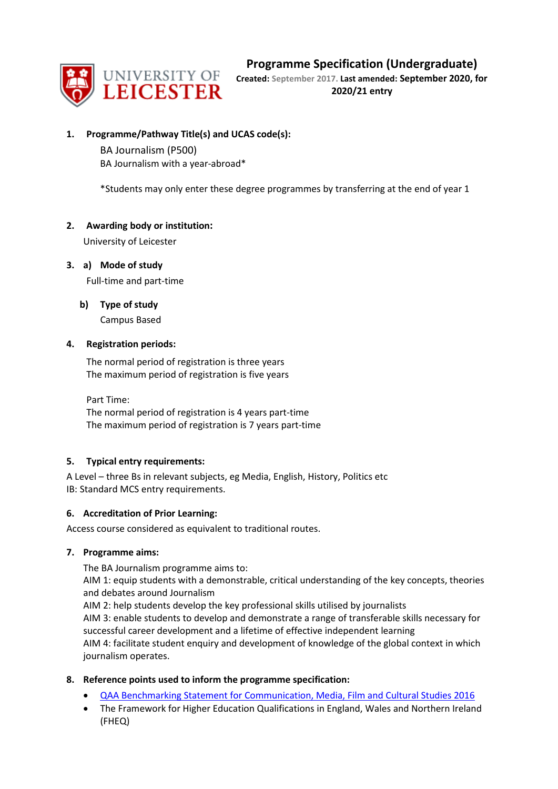# **Programme Specification (Undergraduate)**



**Created: September 2017. Last amended: September 2020, for 2020/21 entry**

## **1. Programme/Pathway Title(s) and UCAS code(s):**

BA Journalism (P500) BA Journalism with a year-abroad\*

\*Students may only enter these degree programmes by transferring at the end of year 1

## **2. Awarding body or institution:**

University of Leicester

**3. a) Mode of study**

Full-time and part-time

**b) Type of study**

Campus Based

## **4. Registration periods:**

The normal period of registration is three years The maximum period of registration is five years

Part Time: The normal period of registration is 4 years part-time The maximum period of registration is 7 years part-time

## **5. Typical entry requirements:**

A Level – three Bs in relevant subjects, eg Media, English, History, Politics etc IB: Standard MCS entry requirements.

## **6. Accreditation of Prior Learning:**

Access course considered as equivalent to traditional routes.

## **7. Programme aims:**

The BA Journalism programme aims to:

AIM 1: equip students with a demonstrable, critical understanding of the key concepts, theories and debates around Journalism

AIM 2: help students develop the key professional skills utilised by journalists

AIM 3: enable students to develop and demonstrate a range of transferable skills necessary for successful career development and a lifetime of effective independent learning

AIM 4: facilitate student enquiry and development of knowledge of the global context in which journalism operates.

## **8. Reference points used to inform the programme specification:**

- [QAA Benchmarking Statement for Communication, Media, Film and Cultural Studies 2016](http://www.qaa.ac.uk/en/Publications/Documents/SBS-Communication-Media-Film-and-Cultural-Studies-16.pdf)
- The Framework for Higher Education Qualifications in England, Wales and Northern Ireland (FHEQ)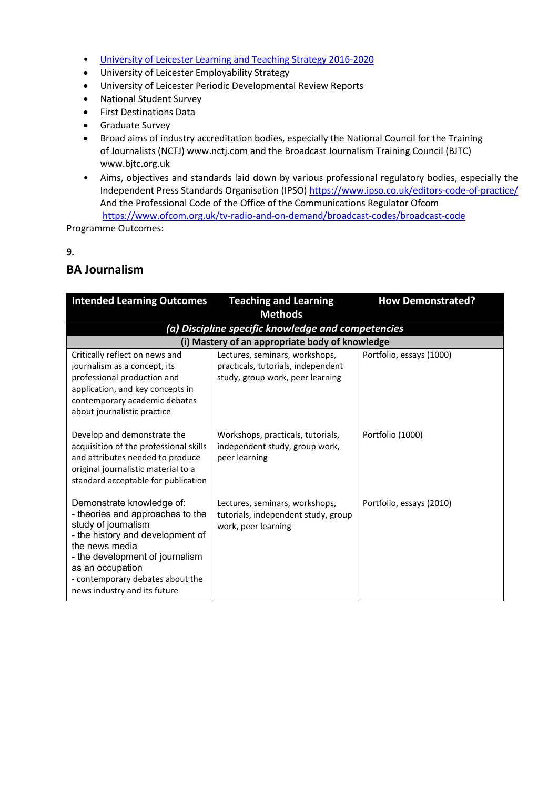- [University of Leicester Learning and Teaching Strategy 2016-2020](http://www2.le.ac.uk/offices/sas2/quality/learnteach)
- University of Leicester Employability Strategy
- University of Leicester Periodic Developmental Review Reports
- National Student Survey
- First Destinations Data
- Graduate Survey
- Broad aims of industry accreditation bodies, especially the National Council for the Training of Journalists (NCTJ) www.nctj.com and the Broadcast Journalism Training Council (BJTC) www.bjtc.org.uk
- Aims, objectives and standards laid down by various professional regulatory bodies, especially the Independent Press Standards Organisation (IPSO)<https://www.ipso.co.uk/editors-code-of-practice/> And the Professional Code of the Office of the Communications Regulator Ofcom <https://www.ofcom.org.uk/tv-radio-and-on-demand/broadcast-codes/broadcast-code>

Programme Outcomes:

#### **9.**

## **BA Journalism**

| <b>Intended Learning Outcomes</b>                                                                                                                                                                                                                                     | <b>Teaching and Learning</b><br><b>Methods</b>                                                           | <b>How Demonstrated?</b> |  |  |
|-----------------------------------------------------------------------------------------------------------------------------------------------------------------------------------------------------------------------------------------------------------------------|----------------------------------------------------------------------------------------------------------|--------------------------|--|--|
|                                                                                                                                                                                                                                                                       | (a) Discipline specific knowledge and competencies                                                       |                          |  |  |
|                                                                                                                                                                                                                                                                       | (i) Mastery of an appropriate body of knowledge                                                          |                          |  |  |
| Critically reflect on news and<br>journalism as a concept, its<br>professional production and<br>application, and key concepts in<br>contemporary academic debates<br>about journalistic practice                                                                     | Lectures, seminars, workshops,<br>practicals, tutorials, independent<br>study, group work, peer learning | Portfolio, essays (1000) |  |  |
| Develop and demonstrate the<br>acquisition of the professional skills<br>and attributes needed to produce<br>original journalistic material to a<br>standard acceptable for publication                                                                               | Workshops, practicals, tutorials,<br>independent study, group work,<br>peer learning                     | Portfolio (1000)         |  |  |
| Demonstrate knowledge of:<br>- theories and approaches to the<br>study of journalism<br>- the history and development of<br>the news media<br>- the development of journalism<br>as an occupation<br>- contemporary debates about the<br>news industry and its future | Lectures, seminars, workshops,<br>tutorials, independent study, group<br>work, peer learning             | Portfolio, essays (2010) |  |  |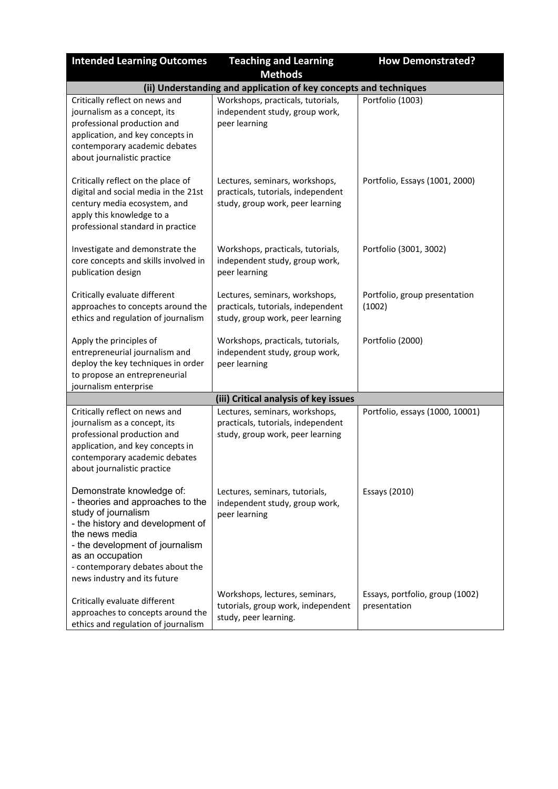| <b>Intended Learning Outcomes</b>                                                                                                                                                                                                                                     | <b>Teaching and Learning</b>                                                                             | <b>How Demonstrated?</b>                        |  |
|-----------------------------------------------------------------------------------------------------------------------------------------------------------------------------------------------------------------------------------------------------------------------|----------------------------------------------------------------------------------------------------------|-------------------------------------------------|--|
|                                                                                                                                                                                                                                                                       | <b>Methods</b>                                                                                           |                                                 |  |
| (ii) Understanding and application of key concepts and techniques                                                                                                                                                                                                     |                                                                                                          |                                                 |  |
| Critically reflect on news and<br>journalism as a concept, its<br>professional production and<br>application, and key concepts in<br>contemporary academic debates<br>about journalistic practice                                                                     | Workshops, practicals, tutorials,<br>independent study, group work,<br>peer learning                     | Portfolio (1003)                                |  |
| Critically reflect on the place of<br>digital and social media in the 21st<br>century media ecosystem, and<br>apply this knowledge to a<br>professional standard in practice                                                                                          | Lectures, seminars, workshops,<br>practicals, tutorials, independent<br>study, group work, peer learning | Portfolio, Essays (1001, 2000)                  |  |
| Investigate and demonstrate the<br>core concepts and skills involved in<br>publication design                                                                                                                                                                         | Workshops, practicals, tutorials,<br>independent study, group work,<br>peer learning                     | Portfolio (3001, 3002)                          |  |
| Critically evaluate different<br>approaches to concepts around the<br>ethics and regulation of journalism                                                                                                                                                             | Lectures, seminars, workshops,<br>practicals, tutorials, independent<br>study, group work, peer learning | Portfolio, group presentation<br>(1002)         |  |
| Apply the principles of<br>entrepreneurial journalism and<br>deploy the key techniques in order<br>to propose an entrepreneurial<br>journalism enterprise                                                                                                             | Workshops, practicals, tutorials,<br>independent study, group work,<br>peer learning                     | Portfolio (2000)                                |  |
|                                                                                                                                                                                                                                                                       | (iii) Critical analysis of key issues                                                                    |                                                 |  |
| Critically reflect on news and<br>journalism as a concept, its<br>professional production and<br>application, and key concepts in<br>contemporary academic debates<br>about journalistic practice                                                                     | Lectures, seminars, workshops,<br>practicals, tutorials, independent<br>study, group work, peer learning | Portfolio, essays (1000, 10001)                 |  |
| Demonstrate knowledge of:<br>- theories and approaches to the<br>study of journalism<br>- the history and development of<br>the news media<br>- the development of journalism<br>as an occupation<br>- contemporary debates about the<br>news industry and its future | Lectures, seminars, tutorials,<br>independent study, group work,<br>peer learning                        | Essays (2010)                                   |  |
| Critically evaluate different<br>approaches to concepts around the<br>ethics and regulation of journalism                                                                                                                                                             | Workshops, lectures, seminars,<br>tutorials, group work, independent<br>study, peer learning.            | Essays, portfolio, group (1002)<br>presentation |  |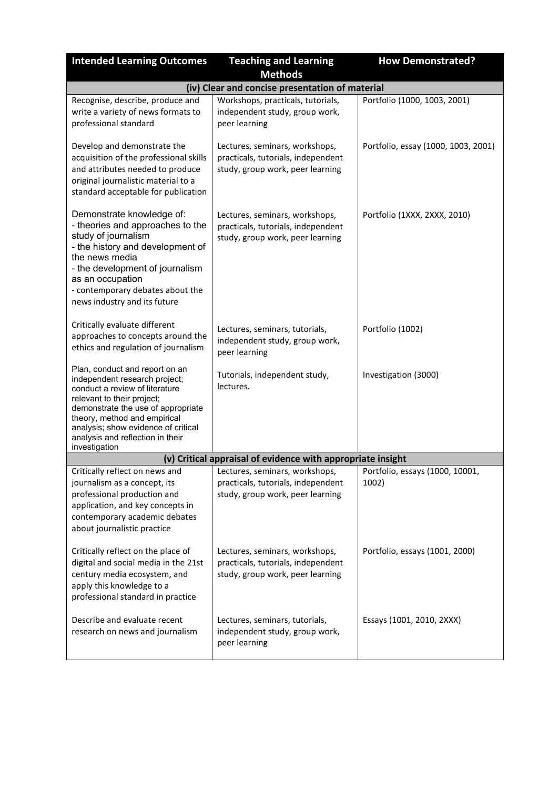| <b>Intended Learning Outcomes</b>                                                                                                                                                                                                                                                                 | <b>Teaching and Learning</b>                                                                             | <b>How Demonstrated?</b>                 |  |
|---------------------------------------------------------------------------------------------------------------------------------------------------------------------------------------------------------------------------------------------------------------------------------------------------|----------------------------------------------------------------------------------------------------------|------------------------------------------|--|
|                                                                                                                                                                                                                                                                                                   | <b>Methods</b>                                                                                           |                                          |  |
|                                                                                                                                                                                                                                                                                                   | (iv) Clear and concise presentation of material                                                          |                                          |  |
| Recognise, describe, produce and<br>write a variety of news formats to<br>professional standard                                                                                                                                                                                                   | Workshops, practicals, tutorials,<br>independent study, group work,<br>peer learning                     | Portfolio (1000, 1003, 2001)             |  |
| Develop and demonstrate the<br>acquisition of the professional skills<br>and attributes needed to produce<br>original journalistic material to a<br>standard acceptable for publication                                                                                                           | Lectures, seminars, workshops,<br>practicals, tutorials, independent<br>study, group work, peer learning | Portfolio, essay (1000, 1003, 2001)      |  |
| Demonstrate knowledge of:<br>- theories and approaches to the<br>study of journalism<br>- the history and development of<br>the news media<br>- the development of journalism<br>as an occupation<br>- contemporary debates about the<br>news industry and its future                             | Lectures, seminars, workshops,<br>practicals, tutorials, independent<br>study, group work, peer learning | Portfolio (1XXX, 2XXX, 2010)             |  |
| Critically evaluate different<br>approaches to concepts around the<br>ethics and regulation of journalism                                                                                                                                                                                         | Lectures, seminars, tutorials,<br>independent study, group work,<br>peer learning                        | Portfolio (1002)                         |  |
| Plan, conduct and report on an<br>independent research project;<br>conduct a review of literature<br>relevant to their project;<br>demonstrate the use of appropriate<br>theory, method and empirical<br>analysis; show evidence of critical<br>analysis and reflection in their<br>investigation | Tutorials, independent study,<br>lectures.                                                               | Investigation (3000)                     |  |
|                                                                                                                                                                                                                                                                                                   | (v) Critical appraisal of evidence with appropriate insight                                              |                                          |  |
| Critically reflect on news and<br>journalism as a concept, its<br>professional production and<br>application, and key concepts in<br>contemporary academic debates<br>about journalistic practice                                                                                                 | Lectures, seminars, workshops,<br>practicals, tutorials, independent<br>study, group work, peer learning | Portfolio, essays (1000, 10001,<br>1002) |  |
| Critically reflect on the place of<br>digital and social media in the 21st<br>century media ecosystem, and<br>apply this knowledge to a<br>professional standard in practice                                                                                                                      | Lectures, seminars, workshops,<br>practicals, tutorials, independent<br>study, group work, peer learning | Portfolio, essays (1001, 2000)           |  |
| Describe and evaluate recent<br>research on news and journalism                                                                                                                                                                                                                                   | Lectures, seminars, tutorials,<br>independent study, group work,<br>peer learning                        | Essays (1001, 2010, 2XXX)                |  |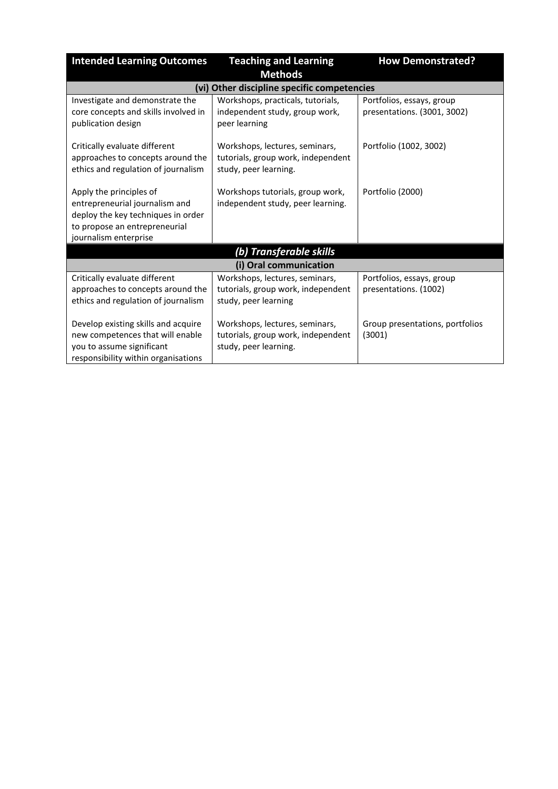| <b>Intended Learning Outcomes</b>                                                                                                                         | <b>Teaching and Learning</b>                                                                  | <b>How Demonstrated?</b>                                 |
|-----------------------------------------------------------------------------------------------------------------------------------------------------------|-----------------------------------------------------------------------------------------------|----------------------------------------------------------|
|                                                                                                                                                           | <b>Methods</b>                                                                                |                                                          |
|                                                                                                                                                           | (vi) Other discipline specific competencies                                                   |                                                          |
| Investigate and demonstrate the<br>core concepts and skills involved in<br>publication design                                                             | Workshops, practicals, tutorials,<br>independent study, group work,<br>peer learning          | Portfolios, essays, group<br>presentations. (3001, 3002) |
| Critically evaluate different<br>approaches to concepts around the<br>ethics and regulation of journalism                                                 | Workshops, lectures, seminars,<br>tutorials, group work, independent<br>study, peer learning. | Portfolio (1002, 3002)                                   |
| Apply the principles of<br>entrepreneurial journalism and<br>deploy the key techniques in order<br>to propose an entrepreneurial<br>journalism enterprise | Workshops tutorials, group work,<br>independent study, peer learning.                         | Portfolio (2000)                                         |
| (b) Transferable skills                                                                                                                                   |                                                                                               |                                                          |
|                                                                                                                                                           | (i) Oral communication                                                                        |                                                          |
| Critically evaluate different<br>approaches to concepts around the<br>ethics and regulation of journalism                                                 | Workshops, lectures, seminars,<br>tutorials, group work, independent<br>study, peer learning  | Portfolios, essays, group<br>presentations. (1002)       |
| Develop existing skills and acquire<br>new competences that will enable<br>you to assume significant<br>responsibility within organisations               | Workshops, lectures, seminars,<br>tutorials, group work, independent<br>study, peer learning. | Group presentations, portfolios<br>(3001)                |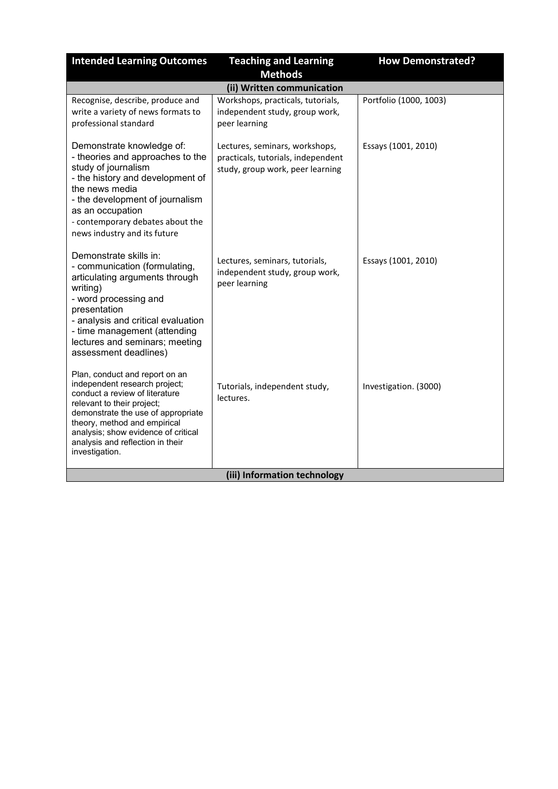| <b>Intended Learning Outcomes</b>                                                                                                                                                                                                                                                                  | <b>Teaching and Learning</b><br><b>Methods</b>                                                           | <b>How Demonstrated?</b> |
|----------------------------------------------------------------------------------------------------------------------------------------------------------------------------------------------------------------------------------------------------------------------------------------------------|----------------------------------------------------------------------------------------------------------|--------------------------|
|                                                                                                                                                                                                                                                                                                    | (ii) Written communication                                                                               |                          |
| Recognise, describe, produce and<br>write a variety of news formats to<br>professional standard                                                                                                                                                                                                    | Workshops, practicals, tutorials,<br>independent study, group work,<br>peer learning                     | Portfolio (1000, 1003)   |
| Demonstrate knowledge of:<br>- theories and approaches to the<br>study of journalism<br>- the history and development of<br>the news media<br>- the development of journalism<br>as an occupation<br>- contemporary debates about the<br>news industry and its future                              | Lectures, seminars, workshops,<br>practicals, tutorials, independent<br>study, group work, peer learning | Essays (1001, 2010)      |
| Demonstrate skills in:<br>- communication (formulating,<br>articulating arguments through<br>writing)<br>- word processing and<br>presentation<br>- analysis and critical evaluation<br>- time management (attending<br>lectures and seminars; meeting<br>assessment deadlines)                    | Lectures, seminars, tutorials,<br>independent study, group work,<br>peer learning                        | Essays (1001, 2010)      |
| Plan, conduct and report on an<br>independent research project;<br>conduct a review of literature<br>relevant to their project;<br>demonstrate the use of appropriate<br>theory, method and empirical<br>analysis; show evidence of critical<br>analysis and reflection in their<br>investigation. | Tutorials, independent study,<br>lectures.                                                               | Investigation. (3000)    |
| (iii) Information technology                                                                                                                                                                                                                                                                       |                                                                                                          |                          |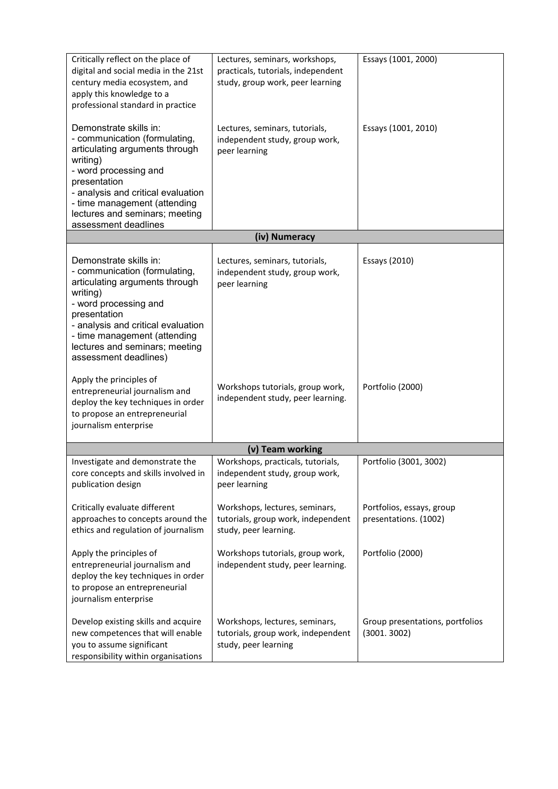| Critically reflect on the place of<br>digital and social media in the 21st<br>century media ecosystem, and<br>apply this knowledge to a<br>professional standard in practice                                                                                                    | Lectures, seminars, workshops,<br>practicals, tutorials, independent<br>study, group work, peer learning | Essays (1001, 2000)                                |
|---------------------------------------------------------------------------------------------------------------------------------------------------------------------------------------------------------------------------------------------------------------------------------|----------------------------------------------------------------------------------------------------------|----------------------------------------------------|
| Demonstrate skills in:<br>- communication (formulating,<br>articulating arguments through<br>writing)<br>- word processing and<br>presentation<br>- analysis and critical evaluation<br>- time management (attending<br>lectures and seminars; meeting<br>assessment deadlines  | Lectures, seminars, tutorials,<br>independent study, group work,<br>peer learning                        | Essays (1001, 2010)                                |
|                                                                                                                                                                                                                                                                                 | (iv) Numeracy                                                                                            |                                                    |
| Demonstrate skills in:<br>- communication (formulating,<br>articulating arguments through<br>writing)<br>- word processing and<br>presentation<br>- analysis and critical evaluation<br>- time management (attending<br>lectures and seminars; meeting<br>assessment deadlines) | Lectures, seminars, tutorials,<br>independent study, group work,<br>peer learning                        | Essays (2010)                                      |
| Apply the principles of<br>entrepreneurial journalism and<br>deploy the key techniques in order<br>to propose an entrepreneurial<br>journalism enterprise                                                                                                                       | Workshops tutorials, group work,<br>independent study, peer learning.                                    | Portfolio (2000)                                   |
|                                                                                                                                                                                                                                                                                 | (v) Team working                                                                                         |                                                    |
| Investigate and demonstrate the<br>core concepts and skills involved in<br>publication design                                                                                                                                                                                   | Workshops, practicals, tutorials,<br>independent study, group work,<br>peer learning                     | Portfolio (3001, 3002)                             |
| Critically evaluate different<br>approaches to concepts around the<br>ethics and regulation of journalism                                                                                                                                                                       | Workshops, lectures, seminars,<br>tutorials, group work, independent<br>study, peer learning.            | Portfolios, essays, group<br>presentations. (1002) |
| Apply the principles of<br>entrepreneurial journalism and<br>deploy the key techniques in order<br>to propose an entrepreneurial<br>journalism enterprise                                                                                                                       | Workshops tutorials, group work,<br>independent study, peer learning.                                    | Portfolio (2000)                                   |
| Develop existing skills and acquire<br>new competences that will enable<br>you to assume significant<br>responsibility within organisations                                                                                                                                     | Workshops, lectures, seminars,<br>tutorials, group work, independent<br>study, peer learning             | Group presentations, portfolios<br>(3001.3002)     |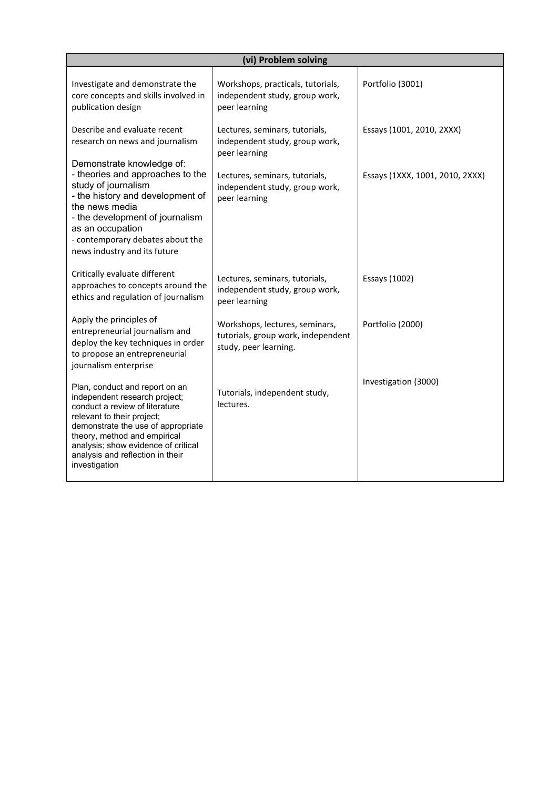| (vi) Problem solving                                                                                                                                                                                                                                                                              |                                                                                               |                                 |  |
|---------------------------------------------------------------------------------------------------------------------------------------------------------------------------------------------------------------------------------------------------------------------------------------------------|-----------------------------------------------------------------------------------------------|---------------------------------|--|
| Investigate and demonstrate the<br>core concepts and skills involved in<br>publication design                                                                                                                                                                                                     | Workshops, practicals, tutorials,<br>independent study, group work,<br>peer learning          | Portfolio (3001)                |  |
| Describe and evaluate recent<br>research on news and journalism<br>Demonstrate knowledge of:                                                                                                                                                                                                      | Lectures, seminars, tutorials,<br>independent study, group work,<br>peer learning             | Essays (1001, 2010, 2XXX)       |  |
| - theories and approaches to the<br>study of journalism<br>- the history and development of<br>the news media<br>- the development of journalism<br>as an occupation<br>- contemporary debates about the<br>news industry and its future                                                          | Lectures, seminars, tutorials,<br>independent study, group work,<br>peer learning             | Essays (1XXX, 1001, 2010, 2XXX) |  |
| Critically evaluate different<br>approaches to concepts around the<br>ethics and regulation of journalism                                                                                                                                                                                         | Lectures, seminars, tutorials,<br>independent study, group work,<br>peer learning             | Essays (1002)                   |  |
| Apply the principles of<br>entrepreneurial journalism and<br>deploy the key techniques in order<br>to propose an entrepreneurial<br>journalism enterprise                                                                                                                                         | Workshops, lectures, seminars,<br>tutorials, group work, independent<br>study, peer learning. | Portfolio (2000)                |  |
| Plan, conduct and report on an<br>independent research project;<br>conduct a review of literature<br>relevant to their project;<br>demonstrate the use of appropriate<br>theory, method and empirical<br>analysis; show evidence of critical<br>analysis and reflection in their<br>investigation | Tutorials, independent study,<br>lectures.                                                    | Investigation (3000)            |  |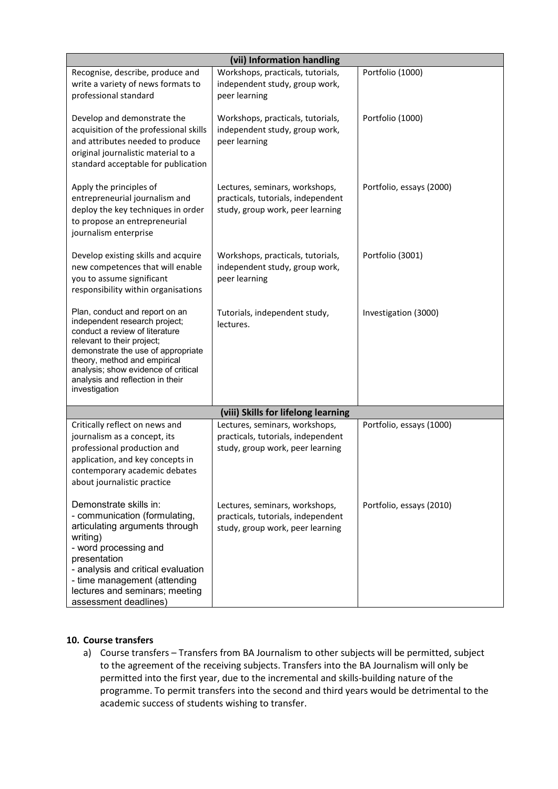| (vii) Information handling                                                                                                                                                                                                                                                                        |                                                                                                          |                          |  |
|---------------------------------------------------------------------------------------------------------------------------------------------------------------------------------------------------------------------------------------------------------------------------------------------------|----------------------------------------------------------------------------------------------------------|--------------------------|--|
| Recognise, describe, produce and<br>write a variety of news formats to<br>professional standard                                                                                                                                                                                                   | Workshops, practicals, tutorials,<br>independent study, group work,<br>peer learning                     | Portfolio (1000)         |  |
| Develop and demonstrate the<br>acquisition of the professional skills<br>and attributes needed to produce<br>original journalistic material to a<br>standard acceptable for publication                                                                                                           | Workshops, practicals, tutorials,<br>independent study, group work,<br>peer learning                     | Portfolio (1000)         |  |
| Apply the principles of<br>entrepreneurial journalism and<br>deploy the key techniques in order<br>to propose an entrepreneurial<br>journalism enterprise                                                                                                                                         | Lectures, seminars, workshops,<br>practicals, tutorials, independent<br>study, group work, peer learning | Portfolio, essays (2000) |  |
| Develop existing skills and acquire<br>new competences that will enable<br>you to assume significant<br>responsibility within organisations                                                                                                                                                       | Workshops, practicals, tutorials,<br>independent study, group work,<br>peer learning                     | Portfolio (3001)         |  |
| Plan, conduct and report on an<br>independent research project;<br>conduct a review of literature<br>relevant to their project;<br>demonstrate the use of appropriate<br>theory, method and empirical<br>analysis; show evidence of critical<br>analysis and reflection in their<br>investigation | Tutorials, independent study,<br>lectures.                                                               | Investigation (3000)     |  |
|                                                                                                                                                                                                                                                                                                   | (viii) Skills for lifelong learning                                                                      |                          |  |
| Critically reflect on news and<br>journalism as a concept, its<br>professional production and<br>application, and key concepts in<br>contemporary academic debates<br>about journalistic practice                                                                                                 | Lectures, seminars, workshops,<br>practicals, tutorials, independent<br>study, group work, peer learning | Portfolio, essays (1000) |  |
| Demonstrate skills in:<br>- communication (formulating,<br>articulating arguments through<br>writing)<br>- word processing and<br>presentation<br>- analysis and critical evaluation<br>- time management (attending<br>lectures and seminars; meeting<br>assessment deadlines)                   | Lectures, seminars, workshops,<br>practicals, tutorials, independent<br>study, group work, peer learning | Portfolio, essays (2010) |  |

## **10. Course transfers**

a) Course transfers – Transfers from BA Journalism to other subjects will be permitted, subject to the agreement of the receiving subjects. Transfers into the BA Journalism will only be permitted into the first year, due to the incremental and skills-building nature of the programme. To permit transfers into the second and third years would be detrimental to the academic success of students wishing to transfer.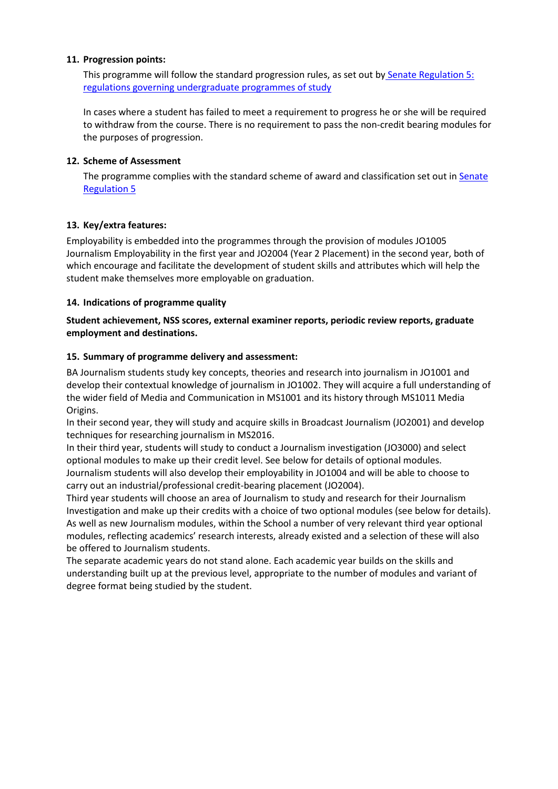#### **11. Progression points:**

This programme will follow the standard progression rules, as set out by [Senate Regulation 5:](http://www2.le.ac.uk/offices/sas2/regulations/documents/senatereg5-undergraduates)  [regulations governing undergraduate programmes of study](http://www2.le.ac.uk/offices/sas2/regulations/documents/senatereg5-undergraduates)

In cases where a student has failed to meet a requirement to progress he or she will be required to withdraw from the course. There is no requirement to pass the non-credit bearing modules for the purposes of progression.

#### **12. Scheme of Assessment**

The programme complies with the standard scheme of award and classification set out in Senate [Regulation 5](http://www2.le.ac.uk/offices/sas2/regulations/documents/senatereg5-undergraduates)

## **13. Key/extra features:**

Employability is embedded into the programmes through the provision of modules JO1005 Journalism Employability in the first year and JO2004 (Year 2 Placement) in the second year, both of which encourage and facilitate the development of student skills and attributes which will help the student make themselves more employable on graduation.

## **14. Indications of programme quality**

**Student achievement, NSS scores, external examiner reports, periodic review reports, graduate employment and destinations.**

#### **15. Summary of programme delivery and assessment:**

BA Journalism students study key concepts, theories and research into journalism in JO1001 and develop their contextual knowledge of journalism in JO1002. They will acquire a full understanding of the wider field of Media and Communication in MS1001 and its history through MS1011 Media Origins.

In their second year, they will study and acquire skills in Broadcast Journalism (JO2001) and develop techniques for researching journalism in MS2016.

In their third year, students will study to conduct a Journalism investigation (JO3000) and select optional modules to make up their credit level. See below for details of optional modules. Journalism students will also develop their employability in JO1004 and will be able to choose to carry out an industrial/professional credit-bearing placement (JO2004).

Third year students will choose an area of Journalism to study and research for their Journalism Investigation and make up their credits with a choice of two optional modules (see below for details). As well as new Journalism modules, within the School a number of very relevant third year optional modules, reflecting academics' research interests, already existed and a selection of these will also be offered to Journalism students.

The separate academic years do not stand alone. Each academic year builds on the skills and understanding built up at the previous level, appropriate to the number of modules and variant of degree format being studied by the student.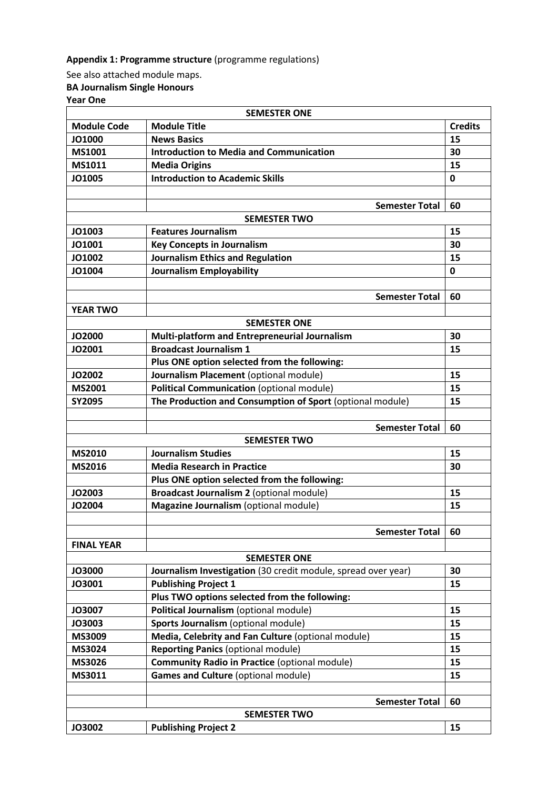# **Appendix 1: Programme structure** (programme regulations)

See also attached module maps. **BA Journalism Single Honours** 

**Year One** 

| <b>SEMESTER ONE</b> |                                                               |                |  |
|---------------------|---------------------------------------------------------------|----------------|--|
| <b>Module Code</b>  | <b>Module Title</b>                                           | <b>Credits</b> |  |
| JO1000              | <b>News Basics</b>                                            | 15             |  |
| <b>MS1001</b>       | <b>Introduction to Media and Communication</b>                | 30             |  |
| MS1011              | <b>Media Origins</b>                                          | 15             |  |
| JO1005              | <b>Introduction to Academic Skills</b>                        | 0              |  |
|                     |                                                               |                |  |
|                     | <b>Semester Total</b>                                         | 60             |  |
|                     | <b>SEMESTER TWO</b>                                           |                |  |
| JO1003              | <b>Features Journalism</b>                                    | 15             |  |
| JO1001              | <b>Key Concepts in Journalism</b>                             | 30             |  |
| JO1002              | <b>Journalism Ethics and Regulation</b>                       | 15             |  |
| JO1004              | <b>Journalism Employability</b>                               | 0              |  |
|                     |                                                               |                |  |
|                     | <b>Semester Total</b>                                         | 60             |  |
| <b>YEAR TWO</b>     |                                                               |                |  |
|                     | <b>SEMESTER ONE</b>                                           |                |  |
| JO2000              | Multi-platform and Entrepreneurial Journalism                 | 30             |  |
| JO2001              | <b>Broadcast Journalism 1</b>                                 | 15             |  |
|                     | Plus ONE option selected from the following:                  |                |  |
| JO2002              | Journalism Placement (optional module)                        | 15             |  |
| MS2001              | Political Communication (optional module)                     | 15             |  |
| <b>SY2095</b>       | The Production and Consumption of Sport (optional module)     | 15             |  |
|                     |                                                               |                |  |
|                     | <b>Semester Total</b>                                         | 60             |  |
| <b>SEMESTER TWO</b> |                                                               |                |  |
| <b>MS2010</b>       | <b>Journalism Studies</b>                                     | 15             |  |
| <b>MS2016</b>       | <b>Media Research in Practice</b>                             | 30             |  |
|                     | Plus ONE option selected from the following:                  |                |  |
| <b>JO2003</b>       | Broadcast Journalism 2 (optional module)                      | 15             |  |
| JO2004              | Magazine Journalism (optional module)                         | 15             |  |
|                     |                                                               |                |  |
|                     | <b>Semester Total</b>                                         | 60             |  |
| <b>FINAL YEAR</b>   |                                                               |                |  |
|                     | <b>SEMESTER ONE</b>                                           |                |  |
| <b>JO3000</b>       | Journalism Investigation (30 credit module, spread over year) | 30             |  |
| JO3001              | <b>Publishing Project 1</b>                                   | 15             |  |
|                     | Plus TWO options selected from the following:                 |                |  |
| JO3007              | Political Journalism (optional module)                        | 15             |  |
| JO3003              | Sports Journalism (optional module)                           | 15             |  |
| MS3009              | Media, Celebrity and Fan Culture (optional module)            | 15             |  |
| MS3024              | <b>Reporting Panics (optional module)</b>                     | 15             |  |
| MS3026              | <b>Community Radio in Practice (optional module)</b>          | 15             |  |
| MS3011              | Games and Culture (optional module)                           | 15             |  |
|                     |                                                               |                |  |
|                     | <b>Semester Total</b>                                         | 60             |  |
| <b>SEMESTER TWO</b> |                                                               |                |  |
| JO3002              | <b>Publishing Project 2</b>                                   | 15             |  |